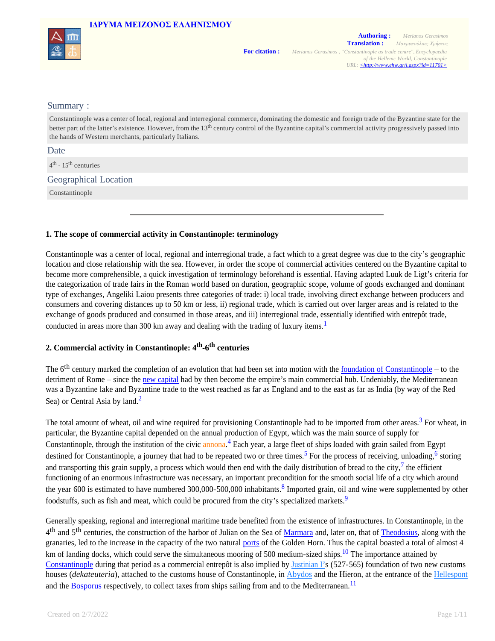

#### Summary :

Constantinople was a center of local, regional and interregional commerce, dominating the domestic and foreign trade of the Byzantine state for the better part of the latter's existence. However, from the 13<sup>th</sup> century control of the Byzantine capital's commercial activity progressively passed into the hands of Western merchants, particularly Italians.

Date

4<sup>th</sup> - 15<sup>th</sup> centuries

Geographical Location

Constantinople

#### **1. The scope of commercial activity in Constantinople: terminology**

Constantinople was a center of local, regional and interregional trade, a fact which to a great degree was due to the city's geographic location and close relationship with the sea. However, in order the scope of commercial activities centered on the Byzantine capital to become more comprehensible, a quick investigation of terminology beforehand is essential. Having adapted Luuk de Ligt's criteria for the categorization of trade fairs in the Roman world based on duration, geographic scope, volume of goods exchanged and dominant type of exchanges, Angeliki Laiou presents three categories of trade: i) local trade, involving direct exchange between producers and consumers and covering distances up to 50 km or less, ii) regional trade, which is carried out over larger areas and is related to the exchange of goods produced and consumed in those areas, and iii) interregional trade, essentially identified with entrepôt trade, conducted in areas more than 300 km away and dealing with the trading of luxury items.<sup>1</sup>

## **2. Commercial activity in Constantinople: 4th -6 th centuries**

The  $6<sup>th</sup>$  century marked the completion of an evolution that had been set into motion with the foundation of Constantinople – to the detriment of Rome – since the new capital had by then become the empire's main commercial hub. Undeniably, the Mediterranean was a Byzantine lake and Byzantine trade to the west reached as far as England and to the east as far as India (by way of the Red Sea) or Central Asia by land.<sup>2</sup>

The total amount of wheat, oil and wine required for provisioning Constantinople had to be imported from other areas.<sup>3</sup> For wheat, in particular, the Byzantine capital depended on the annual production of Egypt, which was the main source of supply for Constantinople, through the institution of the civic annona.<sup>4</sup> Each year, a large fleet of ships loaded with grain sailed from Egypt destined for Constantinople, a journey that had to be repeated two or three times.<sup>5</sup> For the process of receiving, unloading,<sup>6</sup> storing and transporting this grain supply, a process which would then end with the daily distribution of bread to the city,  $\frac{7}{1}$  the efficient functioning of an enormous infrastructure was necessary, an important precondition for the smooth social life of a city which around the year 600 is estimated to have numbered 300,000-500,000 inhabitants.<sup>8</sup> Imported grain, oil and wine were supplemented by other foodstuffs, such as fish and meat, which could be procured from the city's specialized markets.<sup>9</sup>

Generally speaking, regional and interregional maritime trade benefited from the existence of infrastructures. In Constantinople, in the 4<sup>th</sup> and 5<sup>th</sup> centuries, the construction of the harbor of Julian on the Sea of Marmara and, later on, that of Theodosius, along with the granaries, led to the increase in the capacity of the two natural ports of the Golden Horn. Thus the capital boasted a total of almost 4 km of landing docks, which could serve the simultaneous mooring of 500 medium-sized ships.<sup>10</sup> The importance attained by Constantinople during that period as a commercial entrepôt is also implied by Justinian I's (527-565) foundation of two new customs houses (*dekateuteria*), attached to the customs house of Constantinople, in Abydos and the Hieron, at the entrance of the Hellespont and the Bosporus respectively, to collect taxes from ships sailing from and to the Mediterranean.<sup>11</sup>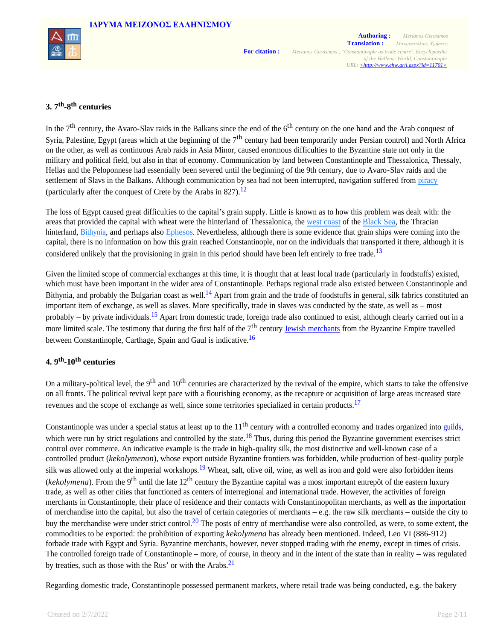



# **3. 7th -8 th centuries**

In the  $7<sup>th</sup>$  century, the Avaro-Slav raids in the Balkans since the end of the  $6<sup>th</sup>$  century on the one hand and the Arab conquest of Syria, Palestine, Egypt (areas which at the beginning of the  $7<sup>th</sup>$  century had been temporarily under Persian control) and North Africa on the other, as well as continuous Arab raids in Asia Minor, caused enormous difficulties to the Byzantine state not only in the military and political field, but also in that of economy. Communication by land between Constantinople and Thessalonica, Thessaly, Hellas and the Peloponnese had essentially been severed until the beginning of the 9th century, due to Avaro-Slav raids and the settlement of Slavs in the Balkans. Although communication by sea had not been interrupted, navigation suffered from piracy (particularly after the conquest of Crete by the Arabs in  $827$ ).<sup>12</sup>

The loss of Egypt caused great difficulties to the capital's grain supply. Little is known as to how this problem was dealt with: the areas that provided the capital with wheat were the hinterland of Thessalonica, the west coast of the Black Sea, the Thracian hinterland, Bithynia, and perhaps also Ephesos. Nevertheless, although there is some evidence that grain ships were coming into the capital, there is no information on how this grain reached Constantinople, nor on the individuals that transported it there, although it is considered unlikely that the provisioning in grain in this period should have been left entirely to free trade.<sup>13</sup>

Given the limited scope of commercial exchanges at this time, it is thought that at least local trade (particularly in foodstuffs) existed, which must have been important in the wider area of Constantinople. Perhaps regional trade also existed between Constantinople and Bithynia, and probably the Bulgarian coast as well.<sup>14</sup> Apart from grain and the trade of foodstuffs in general, silk fabrics constituted an important item of exchange, as well as slaves. More specifically, trade in slaves was conducted by the state, as well as – most probably – by private individuals.<sup>15</sup> Apart from domestic trade, foreign trade also continued to exist, although clearly carried out in a more limited scale. The testimony that during the first half of the  $7<sup>th</sup>$  century Jewish merchants from the Byzantine Empire travelled between Constantinople, Carthage, Spain and Gaul is indicative.<sup>16</sup>

# **4. 9th -10th centuries**

On a military-political level, the 9<sup>th</sup> and 10<sup>th</sup> centuries are characterized by the revival of the empire, which starts to take the offensive on all fronts. The political revival kept pace with a flourishing economy, as the recapture or acquisition of large areas increased state revenues and the scope of exchange as well, since some territories specialized in certain products.<sup>17</sup>

Constantinople was under a special status at least up to the  $11<sup>th</sup>$  century with a controlled economy and trades organized into guilds, which were run by strict regulations and controlled by the state.<sup>18</sup> Thus, during this period the Byzantine government exercises strict control over commerce. An indicative example is the trade in high-quality silk, the most distinctive and well-known case of a controlled product (*kekolymenon*), whose export outside Byzantine frontiers was forbidden, while production of best-quality purple silk was allowed only at the imperial workshops.<sup>19</sup> Wheat, salt, olive oil, wine, as well as iron and gold were also forbidden items (*kekolymena*). From the 9<sup>th</sup> until the late 12<sup>th</sup> century the Byzantine capital was a most important entrepôt of the eastern luxury trade, as well as other cities that functioned as centers of interregional and international trade. However, the activities of foreign merchants in Constantinople, their place of residence and their contacts with Constantinopolitan merchants, as well as the importation of merchandise into the capital, but also the travel of certain categories of merchants – e.g. the raw silk merchants – outside the city to buy the merchandise were under strict control.<sup>20</sup> The posts of entry of merchandise were also controlled, as were, to some extent, the commodities to be exported: the prohibition of exporting *kekolymena* has already been mentioned. Indeed, Leo VI (886-912) forbade trade with Egypt and Syria. Byzantine merchants, however, never stopped trading with the enemy, except in times of crisis. The controlled foreign trade of Constantinople – more, of course, in theory and in the intent of the state than in reality – was regulated by treaties, such as those with the Rus' or with the Arabs. $2<sup>1</sup>$ 

Regarding domestic trade, Constantinople possessed permanent markets, where retail trade was being conducted, e.g. the bakery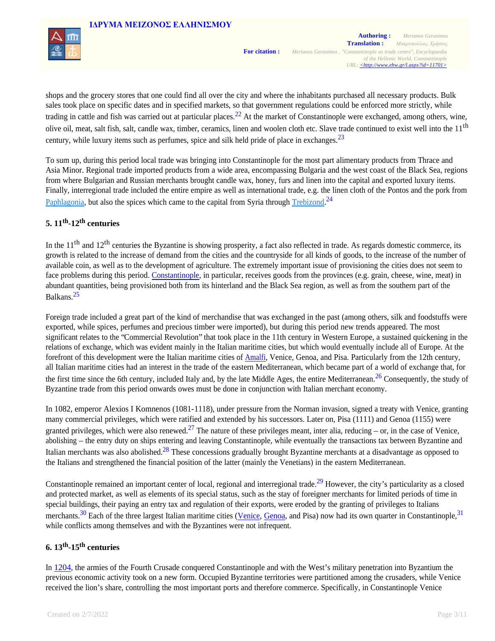

shops and the grocery stores that one could find all over the city and where the inhabitants purchased all necessary products. Bulk sales took place on specific dates and in specified markets, so that government regulations could be enforced more strictly, while trading in cattle and fish was carried out at particular places.<sup>22</sup> At the market of Constantinople were exchanged, among others, wine, olive oil, meat, salt fish, salt, candle wax, timber, ceramics, linen and woolen cloth etc. Slave trade continued to exist well into the 11<sup>th</sup> century, while luxury items such as perfumes, spice and silk held pride of place in exchanges.  $23$ 

To sum up, during this period local trade was bringing into Constantinople for the most part alimentary products from Thrace and Asia Minor. Regional trade imported products from a wide area, encompassing Bulgaria and the west coast of the Black Sea, regions from where Bulgarian and Russian merchants brought candle wax, honey, furs and linen into the capital and exported luxury items. Finally, interregional trade included the entire empire as well as international trade, e.g. the linen cloth of the Pontos and the pork from Paphlagonia, but also the spices which came to the capital from Syria through Trebizond.<sup>24</sup>

## **5. 11th -12th centuries**

In the 11<sup>th</sup> and 12<sup>th</sup> centuries the Byzantine is showing prosperity, a fact also reflected in trade. As regards domestic commerce, its growth is related to the increase of demand from the cities and the countryside for all kinds of goods, to the increase of the number of available coin, as well as to the development of agriculture. The extremely important issue of provisioning the cities does not seem to face problems during this period. Constantinople, in particular, receives goods from the provinces (e.g. grain, cheese, wine, meat) in abundant quantities, being provisioned both from its hinterland and the Black Sea region, as well as from the southern part of the Balkans.<sup>25</sup>

Foreign trade included a great part of the kind of merchandise that was exchanged in the past (among others, silk and foodstuffs were exported, while spices, perfumes and precious timber were imported), but during this period new trends appeared. The most significant relates to the "Commercial Revolution" that took place in the 11th century in Western Europe, a sustained quickening in the relations of exchange, which was evident mainly in the Italian maritime cities, but which would eventually include all of Europe. At the forefront of this development were the Italian maritime cities of Amalfi, Venice, Genoa, and Pisa. Particularly from the 12th century, all Italian maritime cities had an interest in the trade of the eastern Mediterranean, which became part of a world of exchange that, for the first time since the 6th century, included Italy and, by the late Middle Ages, the entire Mediterranean.<sup>26</sup> Consequently, the study of Byzantine trade from this period onwards owes must be done in conjunction with Italian merchant economy.

In 1082, emperor Alexios I Komnenos (1081-1118), under pressure from the Norman invasion, signed a treaty with Venice, granting many commercial privileges, which were ratified and extended by his successors. Later on, Pisa (1111) and Genoa (1155) were granted privileges, which were also renewed.<sup>27</sup> The nature of these privileges meant, inter alia, reducing – or, in the case of Venice, abolishing – the entry duty on ships entering and leaving Constantinople, while eventually the transactions tax between Byzantine and Italian merchants was also abolished.<sup>28</sup> These concessions gradually brought Byzantine merchants at a disadvantage as opposed to the Italians and strengthened the financial position of the latter (mainly the Venetians) in the eastern Mediterranean.

Constantinople remained an important center of local, regional and interregional trade.<sup>29</sup> However, the city's particularity as a closed and protected market, as well as elements of its special status, such as the stay of foreigner merchants for limited periods of time in special buildings, their paying an entry tax and regulation of their exports, were eroded by the granting of privileges to Italians merchants.<sup>30</sup> Each of the three largest Italian maritime cities (Venice, Genoa, and Pisa) now had its own quarter in Constantinople,<sup>31</sup> while conflicts among themselves and with the Byzantines were not infrequent.

## **6. 13th -15th centuries**

In 1204, the armies of the Fourth Crusade conquered Constantinople and with the West's military penetration into Byzantium the previous economic activity took on a new form. Occupied Byzantine territories were partitioned among the crusaders, while Venice received the lion's share, controlling the most important ports and therefore commerce. Specifically, in Constantinople Venice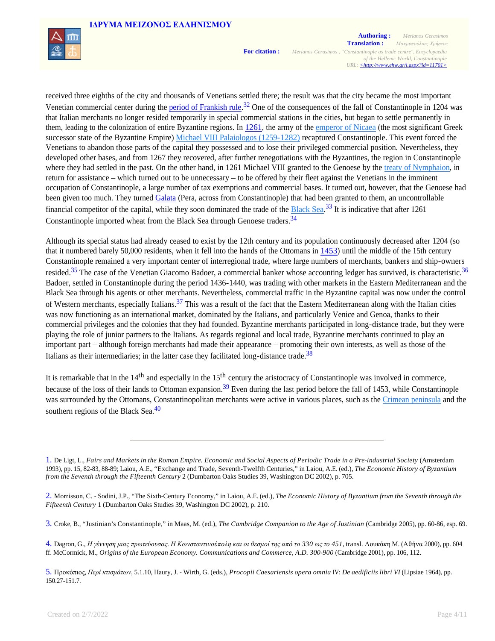

received three eighths of the city and thousands of Venetians settled there; the result was that the city became the most important Venetian commercial center during the period of Frankish rule.<sup>32</sup> One of the consequences of the fall of Constantinople in 1204 was that Italian merchants no longer resided temporarily in special commercial stations in the cities, but began to settle permanently in them, leading to the colonization of entire Byzantine regions. In 1261, the army of the emperor of Nicaea (the most significant Greek successor state of the Byzantine Empire) Michael VIII Palaiologos (1259-1282) recaptured Constantinople. This event forced the Venetians to abandon those parts of the capital they possessed and to lose their privileged commercial position. Nevertheless, they developed other bases, and from 1267 they recovered, after further renegotiations with the Byzantines, the region in Constantinople where they had settled in the past. On the other hand, in 1261 Michael VIII granted to the Genoese by the treaty of Nymphaion, in return for assistance – which turned out to be unnecessary – to be offered by their fleet against the Venetians in the imminent occupation of Constantinople, a large number of tax exemptions and commercial bases. It turned out, however, that the Genoese had been given too much. They turned Galata (Pera, across from Constantinople) that had been granted to them, an uncontrollable financial competitor of the capital, while they soon dominated the trade of the  $B$ lack Sea.<sup>33</sup> It is indicative that after 1261 Constantinople imported wheat from the Black Sea through Genoese traders.<sup>34</sup>

Although its special status had already ceased to exist by the 12th century and its population continuously decreased after 1204 (so that it numbered barely 50,000 residents, when it fell into the hands of the Ottomans in 1453) until the middle of the 15th century Constantinople remained a very important center of interregional trade, where large numbers of merchants, bankers and ship-owners resided.<sup>35</sup> The case of the Venetian Giacomo Badoer, a commercial banker whose accounting ledger has survived, is characteristic.<sup>36</sup> Badoer, settled in Constantinople during the period 1436-1440, was trading with other markets in the Eastern Mediterranean and the Black Sea through his agents or other merchants. Nevertheless, commercial traffic in the Byzantine capital was now under the control of Western merchants, especially Italians.<sup>37</sup> This was a result of the fact that the Eastern Mediterranean along with the Italian cities was now functioning as an international market, dominated by the Italians, and particularly Venice and Genoa, thanks to their commercial privileges and the colonies that they had founded. Byzantine merchants participated in long-distance trade, but they were playing the role of junior partners to the Italians. As regards regional and local trade, Byzantine merchants continued to play an important part – although foreign merchants had made their appearance – promoting their own interests, as well as those of the Italians as their intermediaries; in the latter case they facilitated long-distance trade.<sup>38</sup>

It is remarkable that in the  $14<sup>th</sup>$  and especially in the  $15<sup>th</sup>$  century the aristocracy of Constantinople was involved in commerce, because of the loss of their lands to Ottoman expansion.<sup>39</sup> Even during the last period before the fall of 1453, while Constantinople was surrounded by the Ottomans, Constantinopolitan merchants were active in various places, such as the Crimean peninsula and the southern regions of the Black Sea. $40$ 

<sup>1.</sup> De Ligt, L., *Fairs and Markets in the Roman Empire. Economic and Social Aspects of Periodic Trade in a Pre-industrial Society* (Amsterdam 1993), pp. 15, 82-83, 88-89; Laiou, Α.Ε., "Exchange and Trade, Seventh-Twelfth Centuries," in Laiou, A.Ε. (ed.), *The Economic History of Byzantium from the Seventh through the Fifteenth Century* 2 (Dumbarton Oaks Studies 39, Washington DC 2002), p. 705.

<sup>2.</sup> Morrisson, C. - Sodini, J.P., "The Sixth-Century Economy," in Laiou, A.Ε. (ed.), *The Economic History of Byzantium from the Seventh through the Fifteenth Century* 1 (Dumbarton Oaks Studies 39, Washington DC 2002), p. 210.

<sup>3.</sup> Croke, B., "Justinian's Constantinople," in Maas, M. (ed.), *The Cambridge Companion to the Age of Justinian* (Cambridge 2005), pp. 60-86, esp. 69.

<sup>4.</sup> Dagron, G., *Η γέννηση μιας πρωτεύουσας. Η Κωνσταντινούπολη και οι θεσμοί της από το 330 ως το 451*, transl. Λουκάκη Μ. (Αθήνα 2000), pp. 604 ff. McCormick, M., *Origins of the European Economy. Communications and Commerce, A.D. 300-900* (Cambridge 2001), pp. 106, 112.

<sup>5.</sup> Προκόπιος, *Περί κτισμάτων*, 5.1.10, Haury, J. - Wirth, G. (eds.), *Procopii Caesariensis opera omnia* IV: *De aedificiis libri VI* (Lipsiae 1964), pp. 150.27-151.7.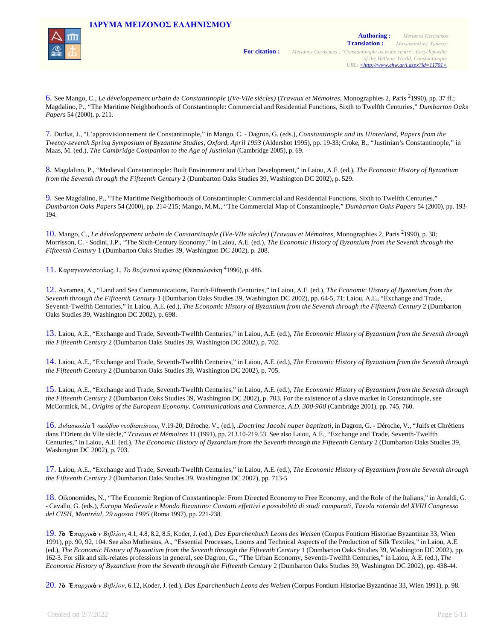

6. See Mango, C., *Le développement urbain de Constantinople* (*IVe-VIIe siècles)* (*Travaux et Mémoires*, Monographies 2, Paris 21990), pp. 37 ff.; Magdalino, P., "The Maritime Neighborhoods of Constantinople: Commercial and Residential Functions, Sixth to Twelfth Centuries," *Dumbarton Oaks Papers* 54 (2000), p. 211.

7. Durliat, J., "L'approvisionnement de Constantinople," in Mango, C. - Dagron, G. (eds.), *Constantinople and its Hinterland, Papers from the Twenty-seventh Spring Symposium of Byzantine Studies, Oxford, April 1993* (Aldershot 1995), pp. 19-33; Croke, B., "Justinian's Constantinople," in Maas, M. (ed.), *The Cambridge Companion to the Age of Justinian* (Cambridge 2005), p. 69.

8. Magdalino, P., "Medieval Constantinople: Built Environment and Urban Development," in Laiou, <sup>Α</sup>.Ε. (ed.), *The Economic History of Byzantium from the Seventh through the Fifteenth Century* 2 (Dumbarton Oaks Studies 39, Washington DC 2002), p. 529.

9. See Magdalino, P., "The Maritime Neighborhoods of Constantinople: Commercial and Residential Functions, Sixth to Twelfth Centuries," *Dumbarton Oaks Papers* 54 (2000), pp. 214-215; Mango, M.M., "The Commercial Map of Constantinople," *Dumbarton Oaks Papers* 54 (2000), pp. 193- 194.

10. Mango, C., *Le développement urbain de Constantinople (IVe-VIIe siècles)* (*Travaux et Mémoires*, Monographies 2, Paris 21990), p. 38; Morrisson, C. - Sodini, J.P., "The Sixth-Century Economy," in Laiou, A.Ε. (ed.), *The Economic History of Byzantium from the Seventh through the Fifteenth Century* 1 (Dumbarton Oaks Studies 39, Washington DC 2002), p. 208.

11. Καραγιαννόπουλος, I., *Το Βυζαντινό κράτος* (Θεσσαλονίκη 41996), p. 486.

12. Avramea, Α., "Land and Sea Communications, Fourth-Fifteenth Centuries," in Laiou, <sup>Α</sup>.Ε. (ed.), *The Economic History of Byzantium from the Seventh through the Fifteenth Century* 1 (Dumbarton Oaks Studies 39, Washington DC 2002), pp. 64-5, 71; Laiou, Α.Ε., "Exchange and Trade, Seventh-Twelfth Centuries," in Laiou, A.Ε. (ed.), *The Economic History of Byzantium from the Seventh through the Fifteenth Century* 2 (Dumbarton Oaks Studies 39, Washington DC 2002), p. 698.

13. Laiou, Α.Ε., "Exchange and Trade, Seventh-Twelfth Centuries," in Laiou, A.Ε. (ed.), *The Economic History of Byzantium from the Seventh through the Fifteenth Century* 2 (Dumbarton Oaks Studies 39, Washington DC 2002), p. 702.

14. Laiou, Α.Ε., "Exchange and Trade, Seventh-Twelfth Centuries," in Laiou, A.Ε. (ed.), *The Economic History of Byzantium from the Seventh through the Fifteenth Century* 2 (Dumbarton Oaks Studies 39, Washington DC 2002), p. 705.

15. Laiou, Α.Ε., "Exchange and Trade, Seventh-Twelfth Centuries," in Laiou, A.Ε. (ed.), *The Economic History of Byzantium from the Seventh through the Fifteenth Century* 2 (Dumbarton Oaks Studies 39, Washington DC 2002), p. 703. For the existence of a slave market in Constantinople, see McCormick, Μ., *Origins of the European Economy. Communications and Commerce, A.D. 300-900* (Cambridge 2001), pp. 745, 760.

16. *Διδασκαλία* **Ἰ** *ακώβου νεοβαπτίστου*, V.19-20; Déroche, V., (ed.), .*Doctrina Jacobi nuper baptizati*, in Dagron, G. - Déroche, V., "Juifs et Chrétiens dans l'Orient du VIIe siècle," *Travaux et Mémoires* 11 (1991), pp. 213.10-219.53. See also Laiou, Α.Ε., "Exchange and Trade, Seventh-Twelfth Centuries," in Laiou, A.Ε. (ed.), *The Economic History of Byzantium from the Seventh through the Fifteenth Century* 2 (Dumbarton Oaks Studies 39, Washington DC 2002), p. 703.

17. Laiou, Α.Ε., "Exchange and Trade, Seventh-Twelfth Centuries," in Laiou, A.Ε. (ed.), *The Economic History of Byzantium from the Seventh through the Fifteenth Century* 2 (Dumbarton Oaks Studies 39, Washington DC 2002), pp. 713-5

18. Oikonomides, N., "The Economic Region of Constantinople: From Directed Economy to Free Economy, and the Role of the Italians," in Arnaldi, G. - Cavallo, G. (eds.), *Europa Medievale e Mondo Bizantino: Contatti effettivi e possibilità di studi comparati, Tavola rotοnda del XVIII Congresso del CISH, Montréal, 29 agosto 1995* (Roma 1997), pp. 221-238.

19. *Τ***ὸ Ἐ***παρχικ***ὸ** *ν Βιβλίον*, 4.1, 4.8, 8.2, 8.5, Koder, J. (ed.), *Das Eparchenbuch Leons des Weisen* (Corpus Fontium Historiae Byzantinae 33, Wien 1991), pp. 90, 92, 104. See also Muthesius, A., "Essential Processes, Looms and Technical Aspects of the Production of Silk Textiles," in Laiou, <sup>Α</sup>.Ε. (ed.), *The Economic History of Byzantium from the Seventh through the Fifteenth Century 1* (Dumbarton Oaks Studies 39, Washington DC 2002), pp. 162-3. For silk and silk-relates professions in general, see Dagron, G., "The Urban Economy, Seventh-Twelfth Centuries," in Laiou, <sup>Α</sup>.Ε. (ed.), *The Economic History of Byzantium from the Seventh through the Fifteenth Century* 2 (Dumbarton Oaks Studies 39, Washington DC 2002), pp. 438-44.

20. *Τ***ὸ Ἐ***παρχικ***ὸ** *ν Βιβλίον*, 6.12, Koder, J. (ed.), *Das Eparchenbuch Leons des Weisen* (Corpus Fontium Historiae Byzantinae 33, Wien 1991), p. 98.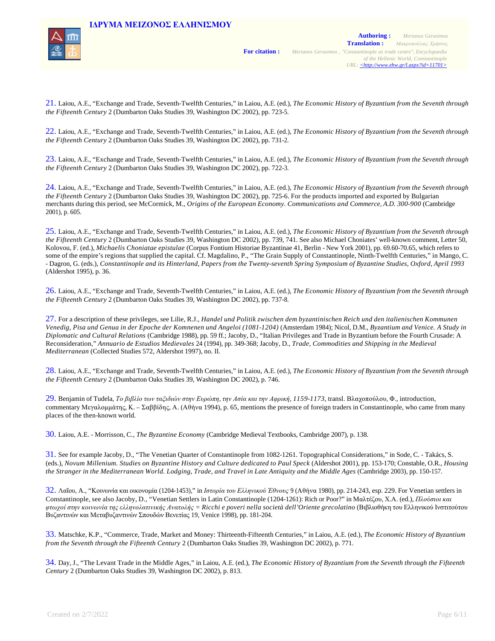

21. Laiou, Α.Ε., "Exchange and Trade, Seventh-Twelfth Centuries," in Laiou, A.Ε. (ed.), *The Economic History of Byzantium from the Seventh through the Fifteenth Century* 2 (Dumbarton Oaks Studies 39, Washington DC 2002), pp. 723-5.

22. Laiou, Α.Ε., "Exchange and Trade, Seventh-Twelfth Centuries," in Laiou, A.Ε. (ed.), *The Economic History of Byzantium from the Seventh through the Fifteenth Century* 2 (Dumbarton Oaks Studies 39, Washington DC 2002), pp. 731-2.

23. Laiou, Α.Ε., "Exchange and Trade, Seventh-Twelfth Centuries," in Laiou, A.Ε. (ed.), *The Economic History of Byzantium from the Seventh through the Fifteenth Century* 2 (Dumbarton Oaks Studies 39, Washington DC 2002), pp. 722-3.

24. Laiou, Α.Ε., "Exchange and Trade, Seventh-Twelfth Centuries," in Laiou, A.Ε. (ed.), *The Economic History of Byzantium from the Seventh through the Fifteenth Century* 2 (Dumbarton Oaks Studies 39, Washington DC 2002), pp. 725-6. For the products imported and exported by Bulgarian merchants during this period, see McCormick, M., *Origins of the European Economy. Communications and Commerce, A.D. 300-900* (Cambridge 2001), p. 605.

25. Laiou, Α.Ε., "Exchange and Trade, Seventh-Twelfth Centuries," in Laiou, A.Ε. (ed.), *The Economic History of Byzantium from the Seventh through the Fifteenth Century* 2 (Dumbarton Oaks Studies 39, Washington DC 2002), pp. 739, 741. See also Michael Choniates' well-known comment, Letter 50, Kolovou, F. (ed.), *Michaelis Choniatae epistulae* (Corpus Fontium Historiae Byzantinae 41, Berlin - New York 2001), pp. 69.60-70.65, which refers to some of the empire's regions that supplied the capital. Cf. Magdalino, P., "The Grain Supply of Constantinople, Ninth-Twelfth Centuries," in Mango, C. - Dagron, G. (eds.), *Constantinople and its Hinterland, Papers from the Twenty-seventh Spring Symposium of Byzantine Studies, Oxford, April 1993*  (Aldershot 1995), p. 36.

26. Laiou, Α.Ε., "Exchange and Trade, Seventh-Twelfth Centuries," in Laiou, A.Ε. (ed.), *The Economic History of Byzantium from the Seventh through the Fifteenth Century* 2 (Dumbarton Oaks Studies 39, Washington DC 2002), pp. 737-8.

27. For a description of these privileges, see Lilie, R.J., *Handel und Politik zwischen dem byzantinischen Reich und den italienischen Kommunen Venedig, Pisa und Genua in der Epoche der Komnenen und Angeloi (1081-1204)* (Amsterdam 1984); Nicol, D.M., *Byzantium and Venice. A Study in Diplomatic and Cultural Relations* (Cambridge 1988), pp. 59 ff.; Jacoby, D., "Italian Privileges and Trade in Byzantium before the Fourth Crusade: A Reconsideration," *Annuario de Estudios Medievales* 24 (1994), pp. 349-368; Jacoby, D., *Trade, Commodities and Shipping in the Medieval Mediterranean* (Collected Studies 572, Aldershot 1997), no. ΙΙ.

28. Laiou, Α.Ε., "Exchange and Trade, Seventh-Twelfth Centuries," in Laiou, A.Ε. (ed.), *The Economic History of Byzantium from the Seventh through the Fifteenth Century* 2 (Dumbarton Oaks Studies 39, Washington DC 2002), p. 746.

29. Benjamin of Tudela, *Το βιβλίο των ταξιδιών στην Ευρώπη, την Ασία και την Αφρική, 1159-1173*, transl. Βλαχοπούλου, Φ., introduction, commentary Μεγαλομμάτης, Κ. – Σαββίδης, Α. (Αθήνα 1994), p. 65, mentions the presence of foreign traders in Constantinople, who came from many places of the then-known world.

30. Laiou, A.E. - Morrisson, C., *The Byzantine Economy* (Cambridge Medieval Textbooks, Cambridge 2007), p. 138.

31. See for example Jacoby, D., "The Venetian Quarter of Constantinople from 1082-1261. Topographical Considerations," in Sode, C. - Takács, S. (eds.), *Novum Millenium. Studies on Byzantine History and Culture dedicated to Paul Speck* (Aldershot 2001), pp. 153-170; Constable, O.R., *Housing the Stranger in the Mediterranean World. Lodging, Trade, and Travel in Late Antiquity and the Middle Ages* (Cambridge 2003), pp. 150-157.

32. Λαΐου, A., "Κοινωνία και οικονομία (1204-1453)," in *Ιστορία του Ελληνικού Έθνους* 9 (Αθήνα 1980), pp. 214-243, esp. 229. For Venetian settlers in Constantinople, see also Jacoby, D., "Venetian Settlers in Latin Constantinople (1204-1261): Rich or Poor?" in Μαλτέζου, Χ.Α. (ed.), *Πλούσιοι και φτωχοί στην κοινωνία της ελληνολατινικής Ανατολής = Ricchi e poveri nella società dell'Oriente grecolatino* (Βιβλιοθήκη του Ελληνικού Ινστιτούτου Βυζαντινών και Μεταβυζαντινών Σπουδών Βενετίας 19, Venice 1998), pp. 181-204.

33. Matschke, K.P., "Commerce, Trade, Market and Money: Thirteenth-Fifteenth Centuries," in Laiou, <sup>Α</sup>.Ε. (ed.), *The Economic History of Byzantium from the Seventh through the Fifteenth Century* 2 (Dumbarton Oaks Studies 39, Washington DC 2002), p. 771.

34. Day, J., "The Levant Trade in the Middle Ages," in Laiou, <sup>Α</sup>.Ε. (ed.), *The Economic History of Byzantium from the Seventh through the Fifteenth Century* 2 (Dumbarton Oaks Studies 39, Washington DC 2002), p. 813.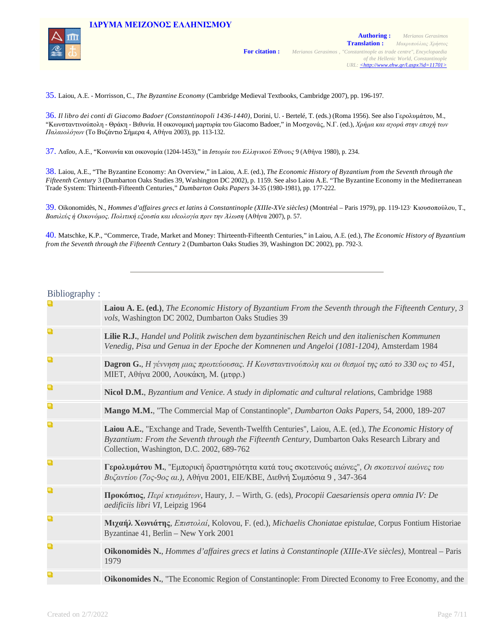

35. Laiou, Α.Ε. - Morrisson, C., *The Byzantine Economy* (Cambridge Medieval Textbooks, Cambridge 2007), pp. 196-197.

36. *Il libro dei conti di Giacomo Badoer (Constantinopoli 1436-1440)*, Dorini, U. - Bertelé, T. (eds.) (Roma 1956). See also Γερολυμάτου, Μ., "Κωνσταντινούπολη - Θράκη - Βιθυνία. Η οικονομική μαρτυρία του Giacomo Badoer," in Μοσχονάς, Ν.Γ. (ed.), *Χρήμα και αγορά στην εποχή των Παλαιολόγων* (Το Βυζάντιο Σήμερα 4, Αθήνα 2003), pp. 113-132.

37. Λαΐου, Α.Ε., "Κοινωνία και οικονομία (1204-1453)," in *Ιστορία του Ελληνικού Έθνους* 9 (Αθήνα 1980), p. 234.

**IΔΡΥΜA ΜΕΙΖΟΝΟΣ ΕΛΛΗΝΙΣΜΟΥ**

38. Laiou, A.E., "The Byzantine Economy: An Overview," in Laiou, <sup>Α</sup>.Ε. (ed.), *The Economic History of Byzantium from the Seventh through the Fifteenth Century* 3 (Dumbarton Oaks Studies 39, Washington DC 2002), p. 1159. See also Laiou A.E. "The Byzantine Economy in the Mediterranean Trade System: Thirteenth-Fifteenth Centuries," *Dumbarton Oaks Papers* 34-35 (1980-1981), pp. 177-222.

39. Oikonomidès, N., *Hommes d'affaires grecs et latins à Constantinople (XIIIe-XVe siècles)* (Montréal – Paris 1979), pp. 119-123· Κιουσοπούλου, T., *Βασιλεύς ή Οικονόμος. Πολιτική εξουσία και ιδεολογία πριν την Άλωση* (Αθήνα 2007), p. 57.

40. Matschke, K.P., "Commerce, Trade, Market and Money: Thirteenth-Fifteenth Centuries," in Laiou, <sup>Α</sup>.Ε. (ed.), *The Economic History of Byzantium from the Seventh through the Fifteenth Century* 2 (Dumbarton Oaks Studies 39, Washington DC 2002), pp. 792-3.

#### Bibliography :

| Q | Laiou A. E. (ed.), The Economic History of Byzantium From the Seventh through the Fifteenth Century, 3<br>vols, Washington DC 2002, Dumbarton Oaks Studies 39                                                                                           |
|---|---------------------------------------------------------------------------------------------------------------------------------------------------------------------------------------------------------------------------------------------------------|
| Q | Lilie R.J., Handel und Politik zwischen dem byzantinischen Reich und den italienischen Kommunen<br>Venedig, Pisa und Genua in der Epoche der Komnenen und Angeloi (1081-1204), Amsterdam 1984                                                           |
| a | <b>Dagron G.</b> , Η γέννηση μιας πρωτεύουσας. Η Κωνσταντινούπολη και οι θεσμοί της από το 330 ως το 451,<br>ΜΙΕΤ, Αθήνα 2000, Λουκάκη, Μ. (μτφρ.)                                                                                                      |
| Q | Nicol D.M., Byzantium and Venice. A study in diplomatic and cultural relations, Cambridge 1988                                                                                                                                                          |
| Q | Mango M.M., "The Commercial Map of Constantinople", Dumbarton Oaks Papers, 54, 2000, 189-207                                                                                                                                                            |
| Q | Laiou A.E., "Exchange and Trade, Seventh-Twelfth Centuries", Laiou, A.E. (ed.), The Economic History of<br>Byzantium: From the Seventh through the Fifteenth Century, Dumbarton Oaks Research Library and<br>Collection, Washington, D.C. 2002, 689-762 |
| Q | Γερολυμάτου Μ., "Εμπορική δραστηριότητα κατά τους σκοτεινούς αιώνες", Οι σκοτεινοί αιώνες του<br>Βυζαντίου (7ος-9ος αι.), Αθήνα 2001, ΕΙΕ/ΚΒΕ, Διεθνή Συμπόσια 9, 347-364                                                                               |
| Q | <b>Προκόπιος</b> , Περί κτισμάτων, Haury, J. – Wirth, G. (eds), <i>Procopii Caesariensis opera omnia IV: De</i><br>aedificiis libri VI, Leipzig 1964                                                                                                    |
| Q | Μιχαήλ Χωνιάτης, Επιστολαί, Kolovou, F. (ed.), Michaelis Choniatae epistulae, Corpus Fontium Historiae<br>Byzantinae 41, Berlin – New York 2001                                                                                                         |
| Q | Oikonomidès N., Hommes d'affaires grecs et latins à Constantinople (XIIIe-XVe siècles), Montreal – Paris<br>1979                                                                                                                                        |
| Q | <b>Oikonomides N.,</b> "The Economic Region of Constantinople: From Directed Economy to Free Economy, and the                                                                                                                                           |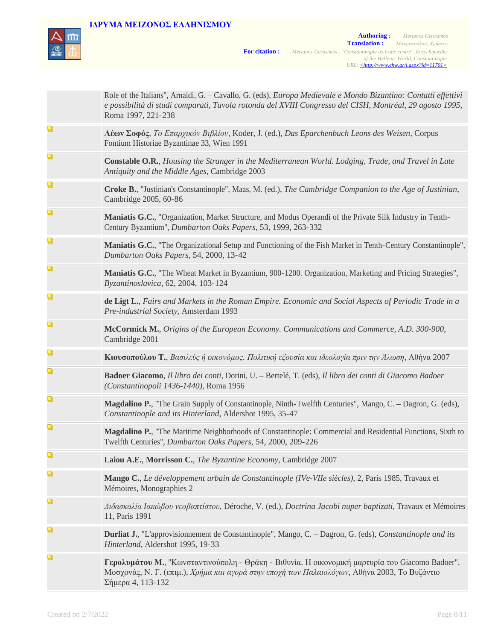

|   | Role of the Italians", Arnaldi, G. - Cavallo, G. (eds), Europa Medievale e Mondo Bizantino: Contatti effettivi<br>e possibilità di studi comparati, Tavola rotonda del XVIII Congresso del CISH, Montréal, 29 agosto 1995,<br>Roma 1997, 221-238 |
|---|--------------------------------------------------------------------------------------------------------------------------------------------------------------------------------------------------------------------------------------------------|
| Q | $\Lambda$ έων Σοφός, Το Επαρχικόν Βιβλίον, Koder, J. (ed.), Das Eparchenbuch Leons des Weisen, Corpus<br>Fontium Historiae Byzantinae 33, Wien 1991                                                                                              |
| Q | <b>Constable O.R.</b> , Housing the Stranger in the Mediterranean World. Lodging, Trade, and Travel in Late<br>Antiquity and the Middle Ages, Cambridge 2003                                                                                     |
| Q | Croke B., "Justinian's Constantinople", Maas, M. (ed.), The Cambridge Companion to the Age of Justinian,<br>Cambridge 2005, 60-86                                                                                                                |
| Q | Maniatis G.C., "Organization, Market Structure, and Modus Operandi of the Private Silk Industry in Tenth-<br>Century Byzantium", Dumbarton Oaks Papers, 53, 1999, 263-332                                                                        |
| Q | Maniatis G.C., "The Organizational Setup and Functioning of the Fish Market in Tenth-Century Constantinople",<br>Dumbarton Oaks Papers, 54, 2000, 13-42                                                                                          |
| Q | Maniatis G.C., "The Wheat Market in Byzantium, 900-1200. Organization, Marketing and Pricing Strategies",<br>Byzantinoslavica, 62, 2004, 103-124                                                                                                 |
| Q | de Ligt L., Fairs and Markets in the Roman Empire. Economic and Social Aspects of Periodic Trade in a<br>Pre-industrial Society, Amsterdam 1993                                                                                                  |
| Q | McCormick M., Origins of the European Economy. Communications and Commerce, A.D. 300-900,<br>Cambridge 2001                                                                                                                                      |
| Q | Κιουσοπούλου Τ., Βασιλεύς ή οικονόμος. Πολιτική εξουσία και ιδεολογία πριν την Άλωση, Αθήνα 2007                                                                                                                                                 |
| Q | Badoer Giacomo, Il libro dei conti, Dorini, U. - Bertelé, T. (eds), Il libro dei conti di Giacomo Badoer<br>(Constantinopoli 1436-1440), Roma 1956                                                                                               |
| Q | Magdalino P., "The Grain Supply of Constantinople, Ninth-Twelfth Centuries", Mango, C. - Dagron, G. (eds),<br>Constantinople and its Hinterland, Aldershot 1995, 35-47                                                                           |
| Q | Magdalino P., "The Maritime Neighborhoods of Constantinople: Commercial and Residential Functions, Sixth to<br>Twelfth Centuries", Dumbarton Oaks Papers, 54, 2000, 209-226                                                                      |
| Q | Laiou A.E., Morrisson C., The Byzantine Economy, Cambridge 2007                                                                                                                                                                                  |
| Q | Mango C., Le développement urbain de Constantinople (IVe-VIIe siècles), 2, Paris 1985, Travaux et<br>Mémoires, Monographies 2                                                                                                                    |
| Q | Διδασκαλία Ιακώβου νεοβαπτίστου, Déroche, V. (ed.), Doctrina Jacobi nuper baptizati, Travaux et Mémoires<br>11, Paris 1991                                                                                                                       |
| Q | <b>Durliat J.</b> , "L'approvisionnement de Constantinople", Mango, C. – Dagron, G. (eds), Constantinople and its<br>Hinterland, Aldershot 1995, 19-33                                                                                           |
| Q | Γερολυμάτου Μ., "Κωνσταντινούπολη - Θράκη - Βιθυνία. Η οικονομική μαρτυρία του Giacomo Badoer",<br>Μοσχονάς, Ν. Γ. (επιμ.), Χρήμα και αγορά στην εποχή των Παλαιολόγων, Αθήνα 2003, Το Βυζάντιο<br>Σήμερα 4, 113-132                             |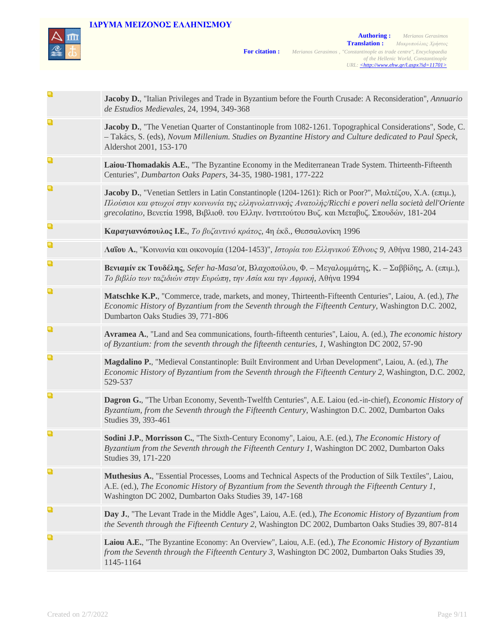

|   | Jacoby D., "Italian Privileges and Trade in Byzantium before the Fourth Crusade: A Reconsideration", Annuario<br>de Estudios Medievales, 24, 1994, 349-368                                                                                                                                                               |
|---|--------------------------------------------------------------------------------------------------------------------------------------------------------------------------------------------------------------------------------------------------------------------------------------------------------------------------|
| Q | Jacoby D., "The Venetian Quarter of Constantinople from 1082-1261. Topographical Considerations", Sode, C.<br>- Takács, S. (eds), Novum Millenium. Studies on Byzantine History and Culture dedicated to Paul Speck,<br>Aldershot 2001, 153-170                                                                          |
| Q | Laiou-Thomadakis A.E., "The Byzantine Economy in the Mediterranean Trade System. Thirteenth-Fifteenth<br>Centuries", Dumbarton Oaks Papers, 34-35, 1980-1981, 177-222                                                                                                                                                    |
| Q | Jacoby D., "Venetian Settlers in Latin Constantinople (1204-1261): Rich or Poor?", Μαλτέζου, Χ.Α. (επιμ.),<br>Πλούσιοι και φτωχοί στην κοινωνία της ελληνολατινικής Ανατολής/Ricchi e poveri nella società dell'Oriente<br>grecolatino, Βενετία 1998, Βιβλιοθ. του Ελλην. Ινστιτούτου Βυζ. και Μεταβυζ. Σπουδών, 181-204 |
| Q | Καραγιαννόπουλος Ι.Ε., Το βυζαντινό κράτος, 4η έκδ., Θεσσαλονίκη 1996                                                                                                                                                                                                                                                    |
| Q | Λαΐου Α., "Κοινωνία και οικονομία (1204-1453)", Ιστορία του Ελληνικού Έθνους 9, Αθήνα 1980, 214-243                                                                                                                                                                                                                      |
| Q | <b>Βενιαμίν εκ Τουδέλης</b> , Sefer ha-Masa'ot, Βλαχοπούλου, Φ. – Μεγαλομμάτης, Κ. – Σαββίδης, Α. (επιμ.),<br>Το βιβλίο των ταξιδιών στην Ευρώπη, την Ασία και την Αφρική, Αθήνα 1994                                                                                                                                    |
| Q | Matschke K.P., "Commerce, trade, markets, and money, Thirteenth-Fifteenth Centuries", Laiou, A. (ed.), The<br>Economic History of Byzantium from the Seventh through the Fifteenth Century, Washington D.C. 2002,<br>Dumbarton Oaks Studies 39, 771-806                                                                  |
| Q | Avramea A., "Land and Sea communications, fourth-fifteenth centuries", Laiou, A. (ed.), The economic history<br>of Byzantium: from the seventh through the fifteenth centuries, 1, Washington DC 2002, 57-90                                                                                                             |
| Q | Magdalino P., "Medieval Constantinople: Built Environment and Urban Development", Laiou, A. (ed.), The<br>Economic History of Byzantium from the Seventh through the Fifteenth Century 2, Washington, D.C. 2002,<br>529-537                                                                                              |
| Q | Dagron G., "The Urban Economy, Seventh-Twelfth Centuries", A.E. Laiou (ed.-in-chief), Economic History of<br>Byzantium, from the Seventh through the Fifteenth Century, Washington D.C. 2002, Dumbarton Oaks<br>Studies 39, 393-461                                                                                      |
| Q | Sodini J.P., Morrisson C., "The Sixth-Century Economy", Laiou, A.E. (ed.), The Economic History of<br>Byzantium from the Seventh through the Fifteenth Century 1, Washington DC 2002, Dumbarton Oaks<br>Studies 39, 171-220                                                                                              |
| Q | Muthesius A., "Essential Processes, Looms and Technical Aspects of the Production of Silk Textiles", Laiou,<br>A.E. (ed.), The Economic History of Byzantium from the Seventh through the Fifteenth Century 1,<br>Washington DC 2002, Dumbarton Oaks Studies 39, 147-168                                                 |
| Q | Day J., "The Levant Trade in the Middle Ages", Laiou, A.E. (ed.), The Economic History of Byzantium from<br>the Seventh through the Fifteenth Century 2, Washington DC 2002, Dumbarton Oaks Studies 39, 807-814                                                                                                          |
| Q | Laiou A.E., "The Byzantine Economy: An Overview", Laiou, A.E. (ed.), The Economic History of Byzantium<br>from the Seventh through the Fifteenth Century 3, Washington DC 2002, Dumbarton Oaks Studies 39,<br>1145-1164                                                                                                  |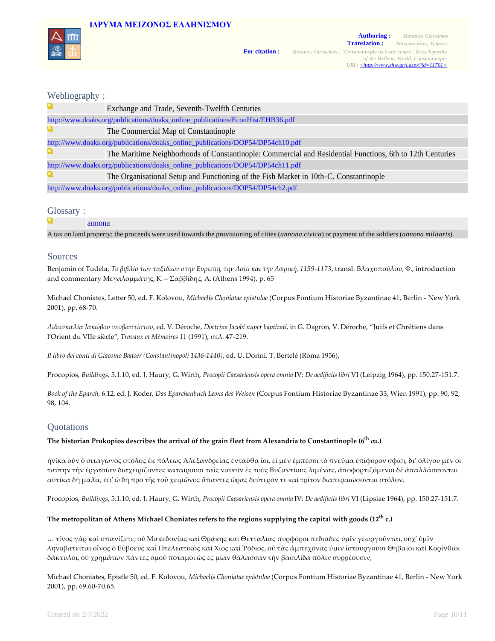



### Webliography :

|                                                                                | Exchange and Trade, Seventh-Twelfth Centuries                                                             |  |
|--------------------------------------------------------------------------------|-----------------------------------------------------------------------------------------------------------|--|
| http://www.doaks.org/publications/doaks_online_publications/EconHist/EHB36.pdf |                                                                                                           |  |
|                                                                                | The Commercial Map of Constantinople                                                                      |  |
| http://www.doaks.org/publications/doaks_online_publications/DOP54/DP54ch10.pdf |                                                                                                           |  |
|                                                                                | The Maritime Neighborhoods of Constantinople: Commercial and Residential Functions, 6th to 12th Centuries |  |
| http://www.doaks.org/publications/doaks_online_publications/DOP54/DP54ch11.pdf |                                                                                                           |  |
|                                                                                | The Organisational Setup and Functioning of the Fish Market in 10th-C. Constantinople                     |  |
| http://www.doaks.org/publications/doaks_online_publications/DOP54/DP54ch2.pdf  |                                                                                                           |  |
|                                                                                |                                                                                                           |  |

#### Glossary :

| annona                                                                                                                                                          |
|-----------------------------------------------------------------------------------------------------------------------------------------------------------------|
| A tax on land property; the proceeds were used towards the provisioning of cities <i>(annona civica)</i> or payment of the soldiers <i>(annona militaris)</i> . |

#### Sources

Benjamin of Tudela, *Το βιβλίο των ταξιδιών στην Ευρώπη, την Ασία και την Αφρική, 1159‑1173*, transl. Βλαχοπούλου, Φ., introduction and commentary Μεγαλομμάτης, Κ. – Σαββίδης, Α. (Athens 1994), p. 65

Michael Choniates, Letter 50, ed. F. Kolovou, *Michaelis Choniatae epistulae* (Corpus Fontium Historiae Byzantinae 41, Berlin ‑ New York 2001), pp. 68‑70.

*Διδασκαλία Ἰακώβου νεοβαπτίστου*, ed. V. Déroche, *Doctrina Jacobi nuper baptizati*, in G. Dagron, V. Déroche, "Juifs et Chrétiens dans l'Orient du VIIe siècle", *Travaux et Mémoires* 11 (1991), σελ. 47‑219.

*Il libro dei conti di Giacomo Badoer (Constantinopoli 1436‑1440)*, ed. U. Dorini, T. Bertelé (Roma 1956).

Procopios, *Buildings*, 5.1.10, ed. J. Haury, G. Wirth, *Procopii Caesariensis opera omnia* IV: *De aedificiis libri* VI (Leipzig 1964), pp. 150.27‑151.7.

*Book of the Eparch*, 6.12, ed. J. Koder, *Das Eparchenbuch Leons des Weisen* (Corpus Fontium Historiae Byzantinae 33, Wien 1991), pp. 90, 92, 98, 104.

#### **Quotations**

### **The historian Prokopios describes the arrival of the grain fleet from Alexandria to Constantinople (6th αι.)**

ἡνίκα οὖν ὁ σιταγωγὸς στόλος ἐκ πόλεως Ἀλεξανδρείας ἐνταῦθα ἴοι, εἰ μὲν ἐμπέσοι τὸ πνεῦμα ἐπίφορον σφίσι, δι' ὀλίγου μὲν οἱ ταύτην τὴν ἐργασίαν διαχειρίζοντες καταίρουσι ταῖς ναυσὶν ἐς τοὺς Βυζαντίους λιμένας, ἀποφορτιζόμενοι δὲ ἀπαλλάσσονται αὐτίκα δὴ μάλα, ἐφ' ᾧ δὴ πρὸ τῆς τοῦ χειμῶνος ἅπαντες ὥρας δεύτερόν τε καὶ τρίτον διαπεραιώσονται στόλον.

Procopios, *Buildings*, 5.1.10, ed. J. Haury, G. Wirth, *Procopii Caesariensis opera omnia* IV: *De aedificiis libri* VI (Lipsiae 1964), pp. 150.27‑151.7.

#### **The metropolitan of Athens Michael Choniates refers to the regions supplying the capital with goods (12th c.)**

… τίνος γὰρ καὶ σπανίζετε; οὐ Μακεδονίας καὶ Θρᾴκης καὶ Θετταλίας πυρφόροι πεδιάδες ὑμῖν γεωργοῦνται, οὐχ' ὑμῖν ληνοβατεῖται οἶνος ὁ Εὐβοεὺς καὶ Πτελεατικὸς καὶ Χῖος καὶ Ῥόδιος, οὐ τὰς ἀμπεχόνας ὑμῖν ἱστουργοῦσι Θηβαῖοι καὶ Κορίνθιοι δάκτυλοι, οὐ χρημάτων πάντες ὁμοῦ ποταμοὶ ὡς ἐς μίαν θάλασσαν τὴν βασιλίδα πόλιν συρρέουσιν;

Michael Choniates, Epistle 50, ed. F. Kolovou, *Michaelis Choniatae epistulae* (Corpus Fontium Historiae Byzantinae 41, Berlin ‑ New York 2001), pp. 69.60‑70.65.